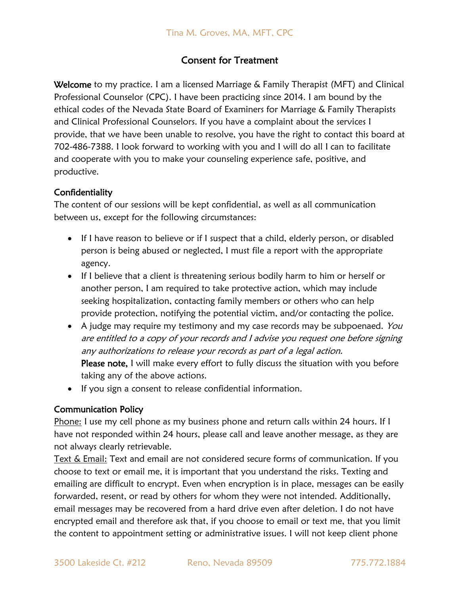# Consent for Treatment

Welcome to my practice. I am a licensed Marriage & Family Therapist (MFT) and Clinical Professional Counselor (CPC). I have been practicing since 2014. I am bound by the ethical codes of the Nevada State Board of Examiners for Marriage & Family Therapists and Clinical Professional Counselors. If you have a complaint about the services I provide, that we have been unable to resolve, you have the right to contact this board at 702-486-7388. I look forward to working with you and I will do all I can to facilitate and cooperate with you to make your counseling experience safe, positive, and productive.

### **Confidentiality**

The content of our sessions will be kept confidential, as well as all communication between us, except for the following circumstances:

- If I have reason to believe or if I suspect that a child, elderly person, or disabled person is being abused or neglected, I must file a report with the appropriate agency.
- If I believe that a client is threatening serious bodily harm to him or herself or another person, I am required to take protective action, which may include seeking hospitalization, contacting family members or others who can help provide protection, notifying the potential victim, and/or contacting the police.
- A judge may require my testimony and my case records may be subpoenaed. You are entitled to a copy of your records and I advise you request one before signing any authorizations to release your records as part of a legal action. Please note, I will make every effort to fully discuss the situation with you before taking any of the above actions.
- If you sign a consent to release confidential information.

### Communication Policy

Phone: I use my cell phone as my business phone and return calls within 24 hours. If I have not responded within 24 hours, please call and leave another message, as they are not always clearly retrievable.

Text & Email: Text and email are not considered secure forms of communication. If you choose to text or email me, it is important that you understand the risks. Texting and emailing are difficult to encrypt. Even when encryption is in place, messages can be easily forwarded, resent, or read by others for whom they were not intended. Additionally, email messages may be recovered from a hard drive even after deletion. I do not have encrypted email and therefore ask that, if you choose to email or text me, that you limit the content to appointment setting or administrative issues. I will not keep client phone